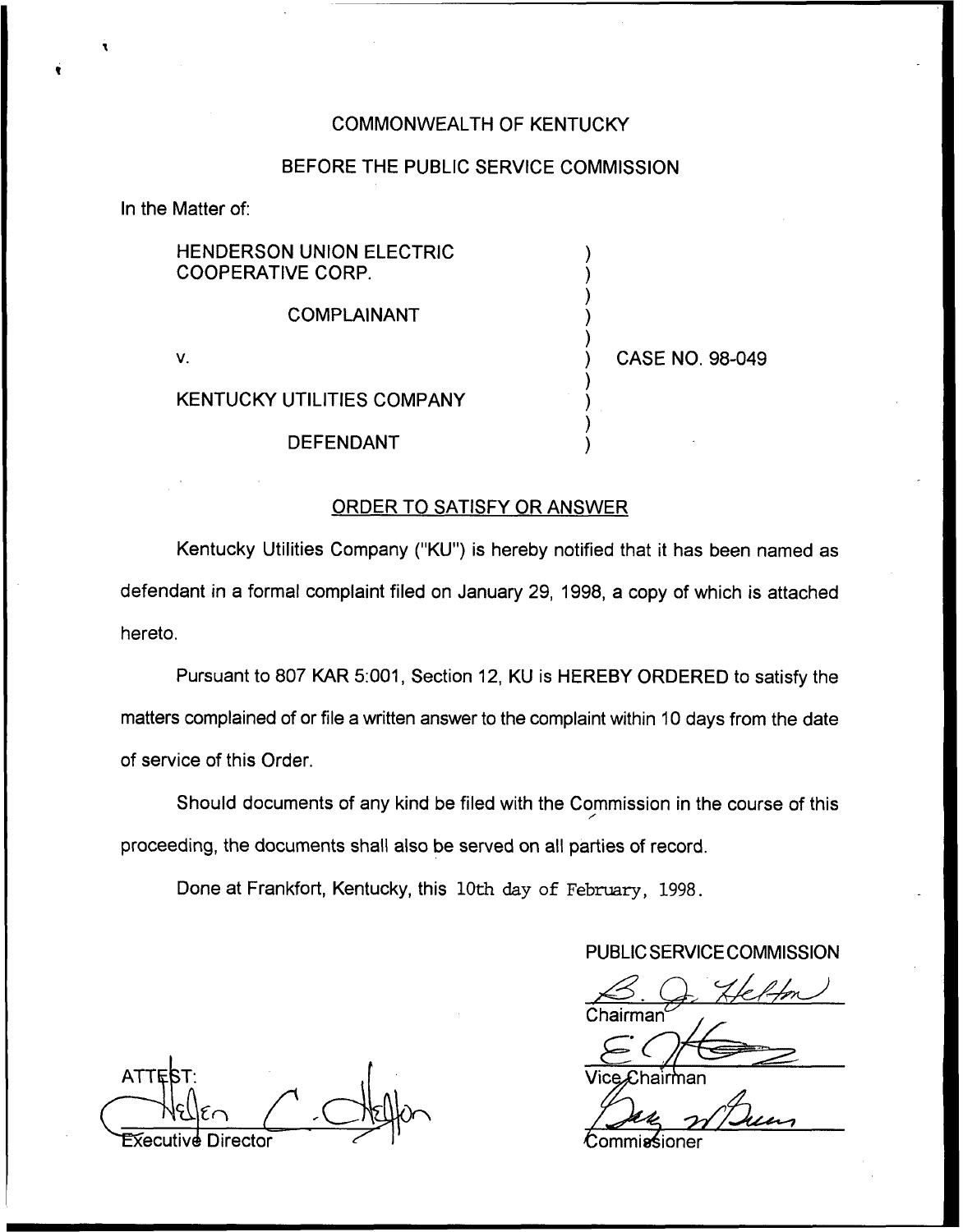#### COMMONWEALTH OF KENTUCKY

# BEFORE THE PUBLIC SERVICE COMMISSION

) ) ) ) )

) ) ) )

In the Matter of:

HENDERSON UNION ELECTRIC COOPERATIVE CORP.

# COMPLAINANT

V.

#### ) CASE NO. 98-049

# KENTUCKY UTILITIES COMPANY

DEFENDANT

#### ORDER TO SATISFY OR ANSWER

Kentucky Utilities Company ("KU") is hereby notified that it has been named as defendant in a formal complaint filed on January 29, 1998, a copy of which is attached hereto.

Pursuant to 807 KAR 5:001, Section 12, KU is HEREBY ORDERED to satisfy the matters complained of or file a written answer to the complaint within 10 days from the date of service of this Order.

Should documents of any kind be filed with the Commission in the course of this proceeding, the documents shall also be served on all parties of record.

Done at Frankfort, Kentucky, this 10th day of February, 1998.

# PUBLIC SERVICE COMMISSION

Chairma  $\beta. Q$ ECOMMISSIOI<br>Helfm

**ATTEST** Director Culture Commissioner

lairman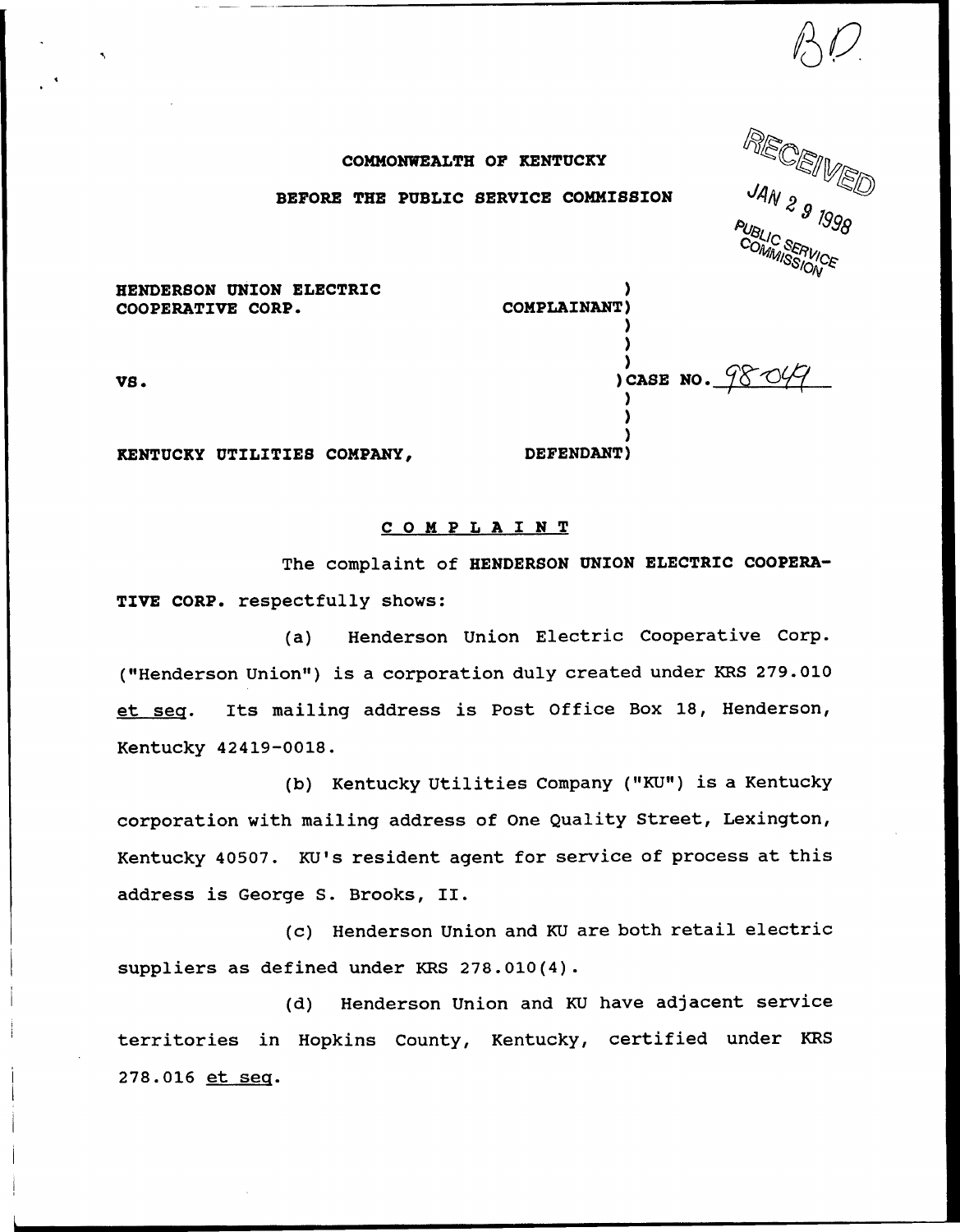$P_{US}$   $^{199}$  $\mathcal{Z}_{\mathcal{S}}$ COMMISER 'YOA ) COMPLAINANT) ) )

)<br>) case no. *98 049* 

) ) )

DEFENDANT)

# COMMONWEALTH OF KENTUCKY BEFORE THE PUBLIC SERVICE COMMISSION

HENDERSON UN10N ELECTRIC COOPERATIVE CORP.

VS.

KENTUCKY UTILITIES COMPANY,

#### COMP <sup>L</sup> <sup>A</sup> I <sup>N</sup> <sup>T</sup>

The complaint of HENDERSON UNION ELECTRIC COOPERA-TIVE CORP. respectfully shows:

(a) Henderson Union Electric Cooperative Corp. ("Henderson Union") is a corporation duly created under KRS 279.010 et seq. Its mailing address is Post Office Box 18, Henderson, Kentucky 42419-0018.

(b) Kentucky Utilities Company ("KU") is a Kentucky corporation with mailing address of One Quality Street, Lexington, Kentucky 40507. KU's resident agent for service of process at this address is George S. Brooks, II.

(c) Henderson Union and KU are both retail electric suppliers as defined under KRS  $278.010(4)$ .

(d) Henderson Union and KU have adjacent service territories in Hopkins County, Kentucky, certified under KRS 278.016 et seq.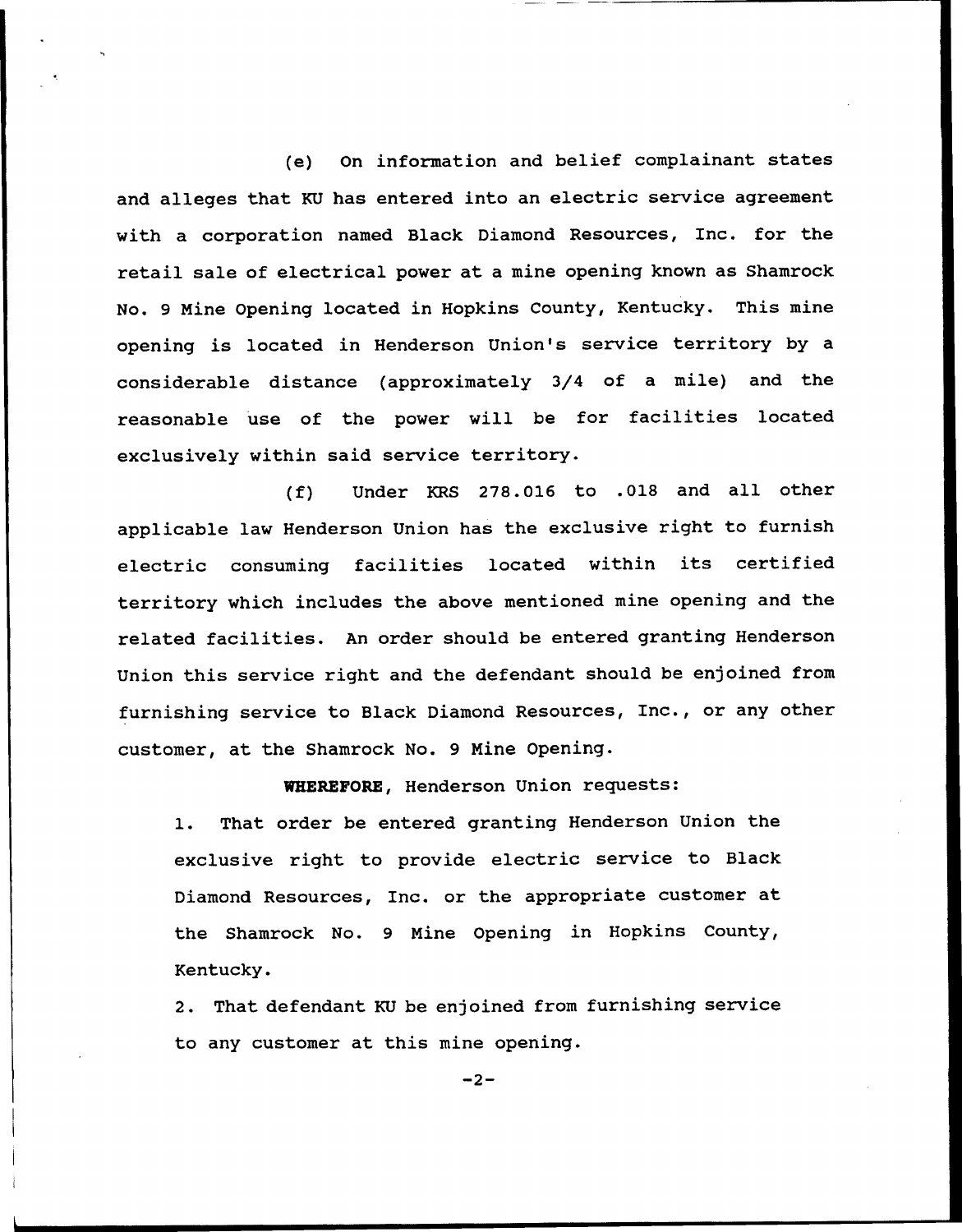(e) On information and belief complainant states and alleges that KU has entered into an electric service agreement with a corporation named Black Diamond Resources, Inc. for the retail sale of electrical power at, a mine opening known as Shamrock No. 9 Mine Opening located in Hopkins County, Kentucky. This mine opening is located in Henderson Union's service territory by a considerable distance (approximately 3/4 of a mile) and the reasonable use of the power will be for facilities located exclusively within said service territory.

(f) Under KRS 278.016 to .018 and all other applicable law Henderson Union has the exclusive right to furnish electric consuming facilities located within its certified territory which includes the above mentioned mine opening and the related facilities. An order should be entered granting Henderson Union this service right and the defendant should be enjoined from furnishing service to Black Diamond Resources, Inc., or any other customer, at the Shamrock No. 9 Mine Opening.

WHEREFORE, Henderson Union requests:

1. That order be entered granting Henderson Union the exclusive right to provide electric service to Black Diamond Resources, Inc. or the appropriate customer at the Shamrock No. 9 Mine Opening in Hopkins County, Kentucky.

2. That defendant KU be enjoined from furnishing service to any customer at this mine opening.

 $-2-$